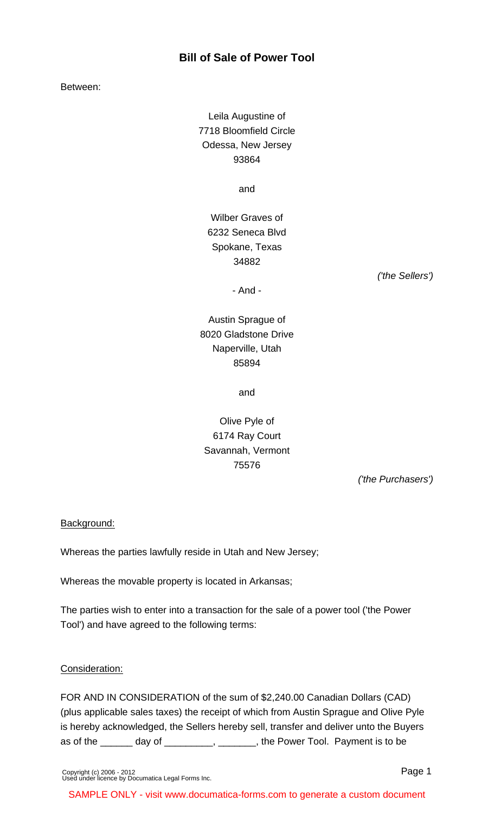### **Bill of Sale of Power Tool**

Between:

Leila Augustine of 7718 Bloomfield Circle Odessa, New Jersey 93864

and

Wilber Graves of 6232 Seneca Blvd Spokane, Texas 34882

('the Sellers')

- And -

# Austin Sprague of 8020 Gladstone Drive Naperville, Utah 85894

and

## Olive Pyle of 6174 Ray Court Savannah, Vermont 75576

('the Purchasers')

### Background:

Whereas the parties lawfully reside in Utah and New Jersey;

Whereas the movable property is located in Arkansas;

The parties wish to enter into a transaction for the sale of a power tool ('the Power Tool') and have agreed to the following terms:

#### Consideration:

FOR AND IN CONSIDERATION of the sum of \$2,240.00 Canadian Dollars (CAD) (plus applicable sales taxes) the receipt of which from Austin Sprague and Olive Pyle is hereby acknowledged, the Sellers hereby sell, transfer and deliver unto the Buyers as of the \_\_\_\_\_\_ day of \_\_\_\_\_\_\_\_, \_\_\_\_\_\_, the Power Tool. Payment is to be

[Copyright \(c\) 2006 - 2012](http://www.documatica-forms.com) [Used under licence by Documatica Legal Forms Inc.](http://www.documatica-forms.com) Page 1

SAMPLE ONLY - visit www.documatica-forms.com to generate a custom document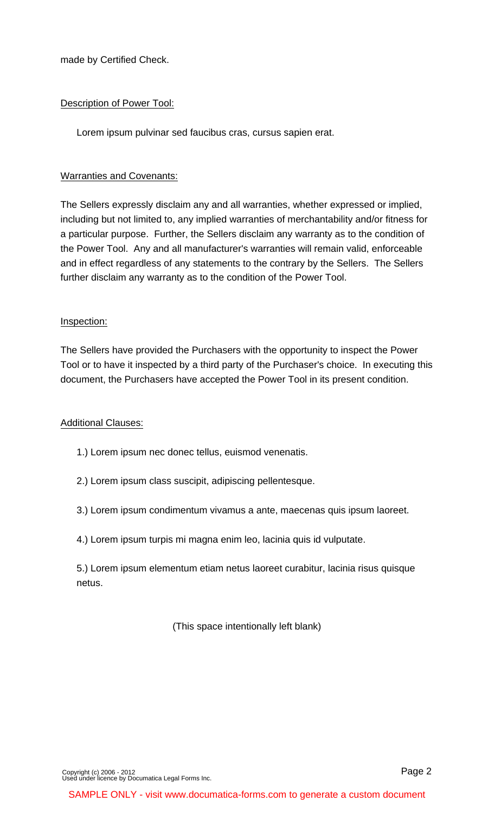made by Certified Check.

#### Description of Power Tool:

Lorem ipsum pulvinar sed faucibus cras, cursus sapien erat.

#### Warranties and Covenants:

The Sellers expressly disclaim any and all warranties, whether expressed or implied, including but not limited to, any implied warranties of merchantability and/or fitness for a particular purpose. Further, the Sellers disclaim any warranty as to the condition of the Power Tool. Any and all manufacturer's warranties will remain valid, enforceable and in effect regardless of any statements to the contrary by the Sellers. The Sellers further disclaim any warranty as to the condition of the Power Tool.

#### Inspection:

The Sellers have provided the Purchasers with the opportunity to inspect the Power Tool or to have it inspected by a third party of the Purchaser's choice. In executing this document, the Purchasers have accepted the Power Tool in its present condition.

#### Additional Clauses:

- 1.) Lorem ipsum nec donec tellus, euismod venenatis.
- 2.) Lorem ipsum class suscipit, adipiscing pellentesque.
- 3.) Lorem ipsum condimentum vivamus a ante, maecenas quis ipsum laoreet.
- 4.) Lorem ipsum turpis mi magna enim leo, lacinia quis id vulputate.

5.) Lorem ipsum elementum etiam netus laoreet curabitur, lacinia risus quisque netus.

(This space intentionally left blank)